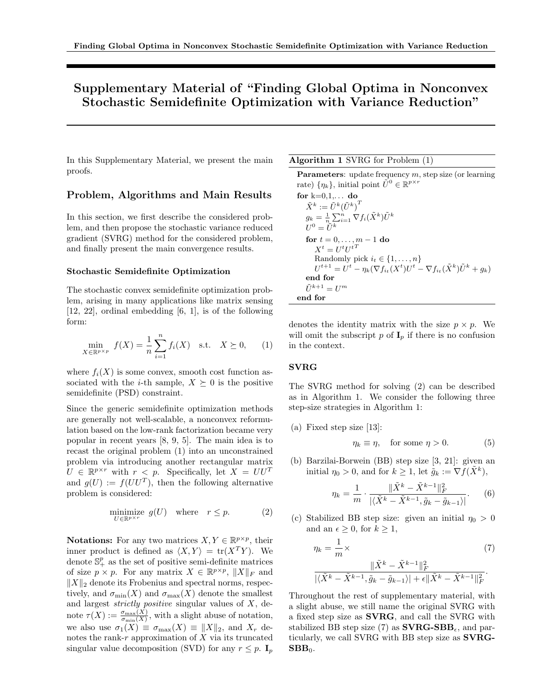# Supplementary Material of "Finding Global Optima in Nonconvex Stochastic Semidefinite Optimization with Variance Reduction"

In this Supplementary Material, we present the main proofs.

## Problem, Algorithms and Main Results

In this section, we first describe the considered problem, and then propose the stochastic variance reduced gradient (SVRG) method for the considered problem, and finally present the main convergence results.

#### Stochastic Semidefinite Optimization

The stochastic convex semidefinite optimization problem, arising in many applications like matrix sensing [12, 22], ordinal embedding [6, 1], is of the following form:

$$
\min_{X \in \mathbb{R}^{p \times p}} f(X) = \frac{1}{n} \sum_{i=1}^{n} f_i(X) \text{ s.t. } X \succeq 0, \quad (1)
$$

where  $f_i(X)$  is some convex, smooth cost function associated with the *i*-th sample,  $X \succeq 0$  is the positive semidefinite (PSD) constraint.

Since the generic semidefinite optimization methods are generally not well-scalable, a nonconvex reformulation based on the low-rank factorization became very popular in recent years [8, 9, 5]. The main idea is to recast the original problem (1) into an unconstrained problem via introducing another rectangular matrix  $U \in \mathbb{R}^{p \times r}$  with  $r < p$ . Specifically, let  $X = U U^T$ and  $g(U) := f(UU^T)$ , then the following alternative problem is considered:

$$
\underset{U \in \mathbb{R}^{p \times r}}{\text{minimize}} \quad g(U) \quad \text{where} \quad r \le p. \tag{2}
$$

**Notations:** For any two matrices  $X, Y \in \mathbb{R}^{p \times p}$ , their inner product is defined as  $\langle X, Y \rangle = \text{tr}(X^T Y)$ . We denote  $\mathbb{S}^p_+$  as the set of positive semi-definite matrices of size  $p \times p$ . For any matrix  $X \in \mathbb{R}^{p \times p}$ ,  $||X||_F$  and  $||X||_2$  denote its Frobenius and spectral norms, respectively, and  $\sigma_{\min}(X)$  and  $\sigma_{\max}(X)$  denote the smallest and largest strictly positive singular values of X, denote  $\tau(X) := \frac{\sigma_{\max}(X)}{\sigma_{\min}(X)}$ , with a slight abuse of notation, we also use  $\sigma_1(X) \equiv \sigma_{\max}(X) \equiv ||X||_2$ , and  $X_r$  denotes the rank- $r$  approximation of  $X$  via its truncated singular value decomposition (SVD) for any  $r \leq p$ . I<sub>p</sub>

Algorithm 1 SVRG for Problem (1)

**Parameters:** update frequency  $m$ , step size (or learning rate)  $\{\eta_k\}$ , initial point  $\tilde{U}^0 \in \mathbb{R}^{p \times r}$ 

for k=0,1,... do  
\n
$$
\tilde{X}^k := \tilde{U}^k (\tilde{U}^k)^T
$$
\n
$$
g_k = \frac{1}{n} \sum_{i=1}^n \nabla f_i (\tilde{X}^k) \tilde{U}^k
$$
\n
$$
U^0 = \tilde{U}^k
$$
\nfor  $t = 0, ..., m - 1$  do  
\n
$$
X^t = U^t U^{t^T}
$$
\nRandomly pick  $i_t \in \{1, ..., n\}$   
\n
$$
U^{t+1} = U^t - \eta_k (\nabla f_{i_t}(X^t) U^t - \nabla f_{i_t}(\tilde{X}^k) \tilde{U}^k + g_k)
$$
\nend for  
\n
$$
\tilde{U}^{k+1} = U^m
$$
\nend for

denotes the identity matrix with the size  $p \times p$ . We will omit the subscript p of  $I_p$  if there is no confusion in the context.

### SVRG

The SVRG method for solving (2) can be described as in Algorithm 1. We consider the following three step-size strategies in Algorithm 1:

(a) Fixed step size [13]:

$$
\eta_k \equiv \eta, \quad \text{for some } \eta > 0. \tag{5}
$$

(b) Barzilai-Borwein (BB) step size [3, 21]: given an initial  $\eta_0 > 0$ , and for  $k \geq 1$ , let  $\tilde{g}_k := \nabla f(\tilde{X}^k)$ ,

$$
\eta_k = \frac{1}{m} \cdot \frac{\|\tilde{X}^k - \tilde{X}^{k-1}\|_F^2}{|\langle \tilde{X}^k - \tilde{X}^{k-1}, \tilde{g}_k - \tilde{g}_{k-1} \rangle|}. \tag{6}
$$

(c) Stabilized BB step size: given an initial  $\eta_0 > 0$ and an  $\epsilon \geq 0$ , for  $k \geq 1$ ,

$$
\eta_k = \frac{1}{m} \times \frac{\|\tilde{X}^k - \tilde{X}^{k-1}\|_F^2}{|\langle \tilde{X}^k - \tilde{X}^{k-1}, \tilde{g}_k - \tilde{g}_{k-1} \rangle| + \epsilon \|\tilde{X}^k - \tilde{X}^{k-1}\|_F^2}.
$$
\n(7)

Throughout the rest of supplementary material, with a slight abuse, we still name the original SVRG with a fixed step size as SVRG, and call the SVRG with stabilized BB step size (7) as  $\mathbf{SVRG\text{-}SBB}_{\epsilon}$ , and particularly, we call SVRG with BB step size as SVRG- $\mathbf{SBB}_0$ .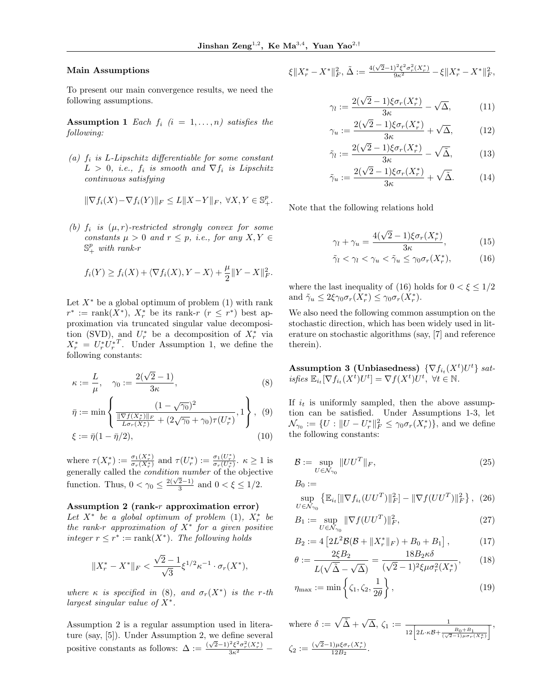#### Main Assumptions

To present our main convergence results, we need the following assumptions.

**Assumption 1** Each  $f_i$  ( $i = 1, \ldots, n$ ) satisfies the following:

(a)  $f_i$  is L-Lipschitz differentiable for some constant  $L > 0$ , i.e.,  $f_i$  is smooth and  $\nabla f_i$  is Lipschitz continuous satisfying

$$
\|\nabla f_i(X) - \nabla f_i(Y)\|_F \le L\|X - Y\|_F, \ \forall X, Y \in \mathbb{S}^p_+.
$$

(b)  $f_i$  is  $(\mu, r)$ -restricted strongly convex for some constants  $\mu > 0$  and  $r \leq p$ , i.e., for any  $X, Y \in$  $\mathbb{S}^p_+$  with rank-r

$$
f_i(Y) \ge f_i(X) + \langle \nabla f_i(X), Y - X \rangle + \frac{\mu}{2} ||Y - X||_F^2.
$$

Let  $X^*$  be a global optimum of problem (1) with rank  $r^* := \text{rank}(X^*), X^*_r$  be its rank- $r$   $(r \leq r^*)$  best approximation via truncated singular value decomposition (SVD), and  $U_r^*$  be a decomposition of  $X_r^*$  via  $X_r^* = U_r^* U_r^{*T}$ . Under Assumption 1, we define the following constants:

$$
\kappa := \frac{L}{\mu}, \quad \gamma_0 := \frac{2(\sqrt{2} - 1)}{3\kappa},\tag{8}
$$

$$
\bar{\eta} := \min \left\{ \frac{(1 - \sqrt{\gamma_0})^2}{\frac{\|\nabla f(X_r^*)\|_F}{L\sigma_r(X_r^*)} + (2\sqrt{\gamma_0} + \gamma_0)\tau(U_r^*)}, 1 \right\}, (9)
$$

$$
\xi := \bar{\eta}(1 - \bar{\eta}/2),\tag{10}
$$

where  $\tau(X_r^*) := \frac{\sigma_1(X_r^*)}{\sigma_r(X_r^*)}$  $\frac{\sigma_1(X_r^*)}{\sigma_r(X_r^*)}$  and  $\tau(U_r^*) := \frac{\sigma_1(U_r^*)}{\sigma_r(U_r^*)}$  $\frac{\sigma_1(U_r)}{\sigma_r(U_r^*)}$ .  $\kappa \ge 1$  is generally called the condition number of the objective function. Thus,  $0 < \gamma_0 \leq \frac{2(\sqrt{2}-1)}{3}$  $\frac{2-1}{3}$  and  $0 < \xi \leq 1/2$ .

#### Assumption 2 (rank-r approximation error)

Let  $X^*$  be a global optimum of problem (1),  $X^*_r$  be the rank-r approximation of  $X^*$  for a given positive integer  $r \leq r^* := \text{rank}(X^*)$ . The following holds

$$
||X_r^* - X^*||_F < \frac{\sqrt{2} - 1}{\sqrt{3}} \xi^{1/2} \kappa^{-1} \cdot \sigma_r(X^*),
$$

where  $\kappa$  is specified in (8), and  $\sigma_r(X^*)$  is the r-th largest singular value of  $X^*$ .

Assumption 2 is a regular assumption used in literature (say, [5]). Under Assumption 2, we define several positive constants as follows:  $\Delta := \frac{(\sqrt{2}-1)^2 \xi^2 \sigma_r^2(X_r^*)}{3\kappa^2}$ 

$$
\xi \|X_r^* - X^*\|_F^2, \, \tilde{\Delta} := \frac{4(\sqrt{2}-1)^2 \xi^2 \sigma_r^2(X_r^*)}{9\kappa^2} - \xi \|X_r^* - X^*\|_F^2,
$$

$$
\gamma_l := \frac{2(\sqrt{2}-1)\xi\sigma_r(X_r^*)}{3\kappa} - \sqrt{\Delta},\tag{11}
$$

$$
\gamma_u := \frac{2(\sqrt{2}-1)\xi\sigma_r(X_r^*)}{3\kappa} + \sqrt{\Delta},\tag{12}
$$

$$
\tilde{\gamma}_l := \frac{2(\sqrt{2}-1)\xi\sigma_r(X_r^*)}{3\kappa} - \sqrt{\tilde{\Delta}},\tag{13}
$$

$$
\tilde{\gamma}_u := \frac{2(\sqrt{2}-1)\xi\sigma_r(X_r^*)}{3\kappa} + \sqrt{\tilde{\Delta}}.\tag{14}
$$

Note that the following relations hold

$$
\gamma_l + \gamma_u = \frac{4(\sqrt{2} - 1)\xi \sigma_r(X_r^*)}{3\kappa},\tag{15}
$$

$$
\tilde{\gamma}_l < \gamma_l < \gamma_u < \tilde{\gamma}_u \le \gamma_0 \sigma_r(X_r^*),\tag{16}
$$

where the last inequality of (16) holds for  $0 < \xi \leq 1/2$ and  $\tilde{\gamma}_u \leq 2\xi \gamma_0 \sigma_r(X_r^*) \leq \gamma_0 \sigma_r(X_r^*)$ .

We also need the following common assumption on the stochastic direction, which has been widely used in literature on stochastic algorithms (say, [7] and reference therein).

Assumption 3 (Unbiasedness)  $\{\nabla f_{i_t}(X^t)U^t\}$  satisfies  $\mathbb{E}_{i_t}[\nabla f_{i_t}(X^t)U^t] = \nabla f(X^t)U^t$ ,  $\forall t \in \mathbb{N}$ .

If  $i_t$  is uniformly sampled, then the above assumption can be satisfied. Under Assumptions 1-3, let  $\mathcal{N}_{\gamma_0} := \{ U : ||U - U_r^*||_F^2 \leq \gamma_0 \sigma_r(X_r^*) \},\$ and we define the following constants:

$$
\mathcal{B} := \sup_{U \in \mathcal{N}_{\gamma_0}} \|UU^T\|_F,\tag{25}
$$

$$
B_0 :=
$$

$$
\sup_{U \in \mathcal{N}_{\gamma_0}} \left\{ \mathbb{E}_{i_t} [\|\nabla f_{i_t}(UU^T)\|_F^2] - \|\nabla f(UU^T)\|_F^2 \right\}, \tag{26}
$$

$$
B_1 := \sup_{U \in \mathcal{N}_{\gamma_0}} \|\nabla f(UU^T)\|_F^2, \tag{27}
$$

$$
B_2 := 4 \left[ 2L^2 \mathcal{B}(\mathcal{B} + \|X_r^*\|_F) + B_0 + B_1 \right],\tag{17}
$$

$$
\theta := \frac{2\xi B_2}{L(\sqrt{\tilde{\Delta}} - \sqrt{\Delta})} = \frac{18B_2\kappa\delta}{(\sqrt{2} - 1)^2\xi\mu\sigma_r^2(X_r^*)},\tag{18}
$$

$$
\eta_{\max} := \min\left\{\zeta_1, \zeta_2, \frac{1}{2\theta}\right\},\tag{19}
$$

where  $\delta := \sqrt{\tilde{\Delta}} + \sqrt{\Delta}, \zeta_1 := \frac{1}{12 \left[ 2L \cdot \kappa \beta + \frac{B_0 + B_1}{(\sqrt{2} - 1)\mu \sigma_r(X_r^*)} \right]}$  $\overline{1}$ ,  $\zeta_2 := \frac{(\sqrt{2}-1)\mu\xi\sigma_r(X_r^*)}{12B_2}$  $\frac{1/\mu\xi\sigma_r(\Lambda_r)}{12B_2}$ .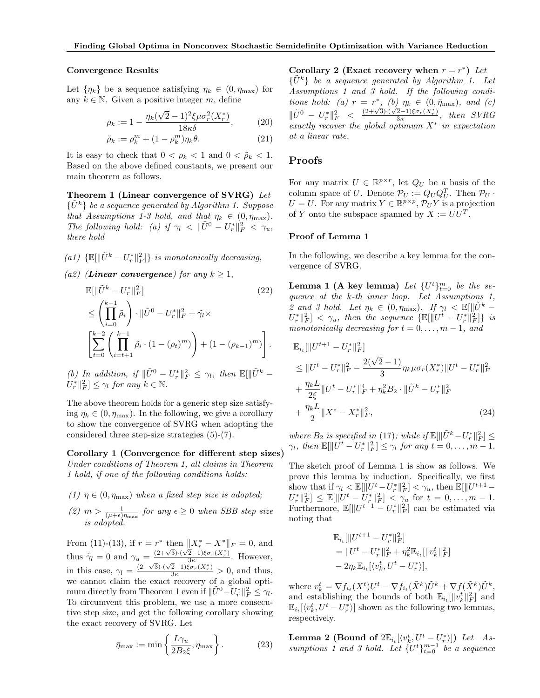#### Convergence Results

Let  $\{\eta_k\}$  be a sequence satisfying  $\eta_k \in (0, \eta_{\text{max}})$  for any  $k \in \mathbb{N}$ . Given a positive integer m, define

$$
\rho_k := 1 - \frac{\eta_k(\sqrt{2} - 1)^2 \xi \mu \sigma_r^2(X_r^*)}{18\kappa \delta},
$$
\n(20)

$$
\tilde{\rho}_k := \rho_k^m + (1 - \rho_k^m)\eta_k \theta. \tag{21}
$$

It is easy to check that  $0 < \rho_k < 1$  and  $0 < \tilde{\rho}_k < 1$ . Based on the above defined constants, we present our main theorem as follows.

Theorem 1 (Linear convergence of SVRG) Let  $\{U^k\}$  be a sequence generated by Algorithm 1. Suppose that Assumptions 1-3 hold, and that  $\eta_k \in (0, \eta_{\text{max}})$ . The following hold: (a) if  $\gamma_l \langle \mathbf{W} | \tilde{U}^0 - U_r^* | \rangle_F^2 \langle \tilde{U}_u, \tilde{U}_v \rangle$ there hold

- (a1)  $\{\mathbb{E}[\|\tilde{U}^k U_r^*\|_F^2]\}$  is monotonically decreasing,
- (a2) (Linear convergence) for any  $k \geq 1$ ,

$$
\mathbb{E}[\|\tilde{U}^{k} - U_{r}^{*}\|_{F}^{2}]
$$
\n
$$
\leq \left(\prod_{i=0}^{k-1} \tilde{\rho}_{i}\right) \cdot \|\tilde{U}^{0} - U_{r}^{*}\|_{F}^{2} + \tilde{\gamma}_{l} \times
$$
\n
$$
\left[\sum_{t=0}^{k-2} \left(\prod_{i=t+1}^{k-1} \tilde{\rho}_{i} \cdot (1 - (\rho_{t})^{m})\right) + (1 - (\rho_{k-1})^{m})\right].
$$
\n(22)

(b) In addition, if 
$$
\|\tilde{U}^0 - U_r^*\|_F^2 \leq \gamma_l
$$
, then  $\mathbb{E}[\|\tilde{U}^k - U_r^*\|_F^2] \leq \gamma_l$  for any  $k \in \mathbb{N}$ .

The above theorem holds for a generic step size satisfying  $\eta_k \in (0, \eta_{\text{max}})$ . In the following, we give a corollary to show the convergence of SVRG when adopting the considered three step-size strategies (5)-(7).

Corollary 1 (Convergence for different step sizes) Under conditions of Theorem 1, all claims in Theorem 1 hold, if one of the following conditions holds:

- (1)  $\eta \in (0, \eta_{\text{max}})$  when a fixed step size is adopted;
- (2)  $m > \frac{1}{(\mu + \epsilon)\eta_{\text{max}}}$  for any  $\epsilon \geq 0$  when SBB step size is adopted.

From (11)-(13), if  $r = r^*$  then  $||X_r^* - X^*||_F = 0$ , and thus  $\tilde{\gamma}_l = 0$  and  $\gamma_u = \frac{(2+\sqrt{3})\cdot(\sqrt{2}-1)\xi\sigma_r(X_r^*)}{3\kappa}$  $\frac{2-1}{3\kappa} \frac{\sigma_r(\Lambda_r)}{\sigma_r}$ . However, in this case,  $\gamma_l = \frac{(2-\sqrt{3})\cdot(\sqrt{2}-1)\xi\sigma_r(X_r^*)}{3\kappa} > 0$ , and thus, we cannot claim the exact recovery of a global optimum directly from Theorem 1 even if  $\|\tilde{U}^0 - U_r^*\|_F^2 \leq \gamma_l$ . To circumvent this problem, we use a more consecutive step size, and get the following corollary showing the exact recovery of SVRG. Let

$$
\bar{\eta}_{\max} := \min\left\{\frac{L\gamma_u}{2B_2\xi}, \eta_{\max}\right\}.
$$
 (23)

Corollary 2 (Exact recovery when  $r = r^*$ ) Let  ${U^k}$  be a sequence generated by Algorithm 1. Let Assumptions 1 and 3 hold. If the following conditions hold: (a)  $r = r^*$ , (b)  $\eta_k \in (0, \bar{\eta}_{\text{max}})$ , and (c)  $\|\tilde{U}^0 - U_r^*\|_F^2 < \frac{(2+\sqrt{3})\cdot(\sqrt{2}-1)\xi\sigma_r(X_r^*)}{3\kappa}$  $\frac{2-1}{3\kappa} \frac{3\sigma_r(\Lambda_r)}{3\kappa}$ , then SVRG exactly recover the global optimum  $X^*$  in expectation at a linear rate.

## Proofs

For any matrix  $U \in \mathbb{R}^{p \times r}$ , let  $Q_U$  be a basis of the column space of U. Denote  $\mathcal{P}_U := Q_U Q_U^T$ . Then  $\mathcal{P}_U$ .  $U = U$ . For any matrix  $Y \in \mathbb{R}^{p \times p}$ ,  $\mathcal{P}_U Y$  is a projection of Y onto the subspace spanned by  $X := U U^{T}$ .

#### Proof of Lemma 1

In the following, we describe a key lemma for the convergence of SVRG.

**Lemma 1 (A key lemma)** Let  $\{U^t\}_{t=0}^m$  be the sequence at the k-th inner loop. Let Assumptions 1, 2 and 3 hold. Let  $\eta_k \in (0, \eta_{\text{max}})$ . If  $\gamma_l \lt \mathbb{E}[\|\tilde{U}^k \|U_r^*\|_F^2\| < \gamma_u$ , then the sequence  $\{\mathbb{E}[\|U^t-U_r^*\|_F^2]\}\;$  is monotonically decreasing for  $t = 0, \ldots, m - 1$ , and

$$
\mathbb{E}_{i_t}[\|U^{t+1} - U_r^*\|_F^2]
$$
\n
$$
\leq \|U^t - U_r^*\|_F^2 - \frac{2(\sqrt{2} - 1)}{3} \eta_k \mu \sigma_r(X_r^*) \|U^t - U_r^*\|_F^2
$$
\n
$$
+ \frac{\eta_k L}{2\xi} \|U^t - U_r^*\|_F^4 + \eta_k^2 B_2 \cdot \|\tilde{U}^k - U_r^*\|_F^2
$$
\n
$$
+ \frac{\eta_k L}{2} \|X^* - X_r^*\|_F^2, \tag{24}
$$

where  $B_2$  is specified in (17); while if  $\mathbb{E}[\|\tilde{U}^k - U_r^*\|_F^2] \leq$  $\gamma_l$ , then  $\mathbb{E}[\Vert \overline{U^t} - \overline{U_r^*} \Vert_F^2] \leq \gamma_l$  for any  $t = 0, \ldots, m-1$ .

The sketch proof of Lemma 1 is show as follows. We prove this lemma by induction. Specifically, we first show that if  $\gamma_l < \mathbb{E}[\|U^t - U_r^*\|_F^2] < \gamma_u$ , then  $\mathbb{E}[\|U^{t+1} U_r^*\|_F^2 \leq \mathbb{E}[\|U^t - U_r^*\|_F^2] < \gamma_u$  for  $t = 0, \ldots, m-1$ . Furthermore,  $\mathbb{E}[\|U^{t+1} - U_r^*\|_F^2]$  can be estimated via noting that

$$
\mathbb{E}_{i_t}[\|U^{t+1} - U_r^*\|_F^2]
$$
  
= 
$$
\|U^t - U_r^*\|_F^2 + \eta_k^2 \mathbb{E}_{i_t}[\|v_k^t\|_F^2]
$$
  
- 
$$
2\eta_k \mathbb{E}_{i_t}[\langle v_k^t, U^t - U_r^* \rangle],
$$

where  $v_k^t = \nabla f_{i_t}(X^t)U^t - \nabla f_{i_t}(\tilde{X}^k)\tilde{U}^k + \nabla f(\tilde{X}^k)\tilde{U}^k$ , and establishing the bounds of both  $\mathbb{E}_{i_t}[\Vert v^t_k \Vert_F^2]$  and  $\mathbb{E}_{i_t}[\langle v_k^t, U^t - U_r^* \rangle]$  shown as the following two lemmas, respectively.

**Lemma 2 (Bound of**  $2\mathbb{E}_{i_t}[\langle v_k^t, U^t - U_r^* \rangle]$ ) Let Assumptions 1 and 3 hold. Let  $\{U^t\}_{t=0}^{m-1}$  be a sequence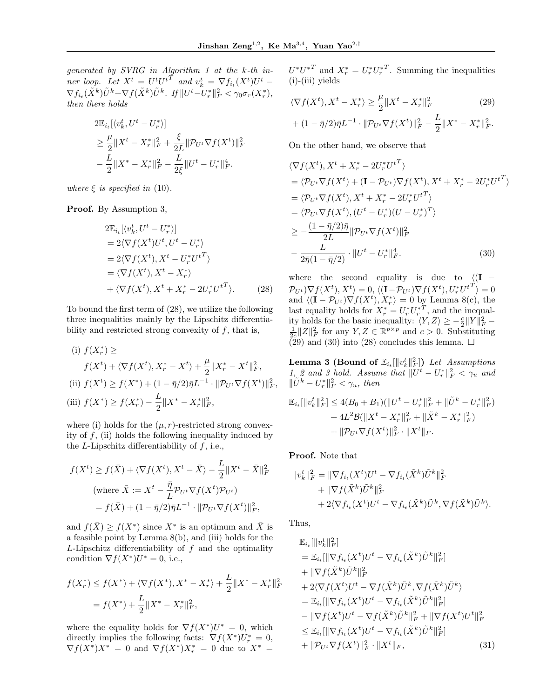generated by SVRG in Algorithm 1 at the k-th inner loop. Let  $X^t = U^t U^{tT}$  and  $v_k^t = \nabla f_{i_t}(X^t) U^t$  –  $\nabla f_{i_t}(\tilde{X}^k)\tilde{U}^k + \nabla f(\tilde{X}^k)\tilde{U}^k$ . If  $||U^t-U_r^*||_F^2 < \gamma_0 \sigma_r(X_r^*),$ then there holds

$$
2\mathbb{E}_{i_t}[\langle v_k^t, U^t - U_r^* \rangle] \n\geq \frac{\mu}{2} \|X^t - X_r^*\|_F^2 + \frac{\xi}{2L} \|\mathcal{P}_{U^t} \nabla f(X^t)\|_F^2 \n- \frac{L}{2} \|X^* - X_r^*\|_F^2 - \frac{L}{2\xi} \|U^t - U_r^*\|_F^4.
$$

where  $\xi$  is specified in (10).

Proof. By Assumption 3,

$$
2\mathbb{E}_{i_t}[\langle v_k^t, U^t - U_r^* \rangle] \n= 2\langle \nabla f(X^t)U^t, U^t - U_r^* \rangle \n= 2\langle \nabla f(X^t), X^t - U_r^*U^{t^T} \rangle \n= \langle \nabla f(X^t), X^t - X_r^* \rangle \n+ \langle \nabla f(X^t), X^t + X_r^* - 2U_r^*U^{t^T} \rangle.
$$
\n(28)

To bound the first term of (28), we utilize the following three inequalities mainly by the Lipschitz differentiability and restricted strong convexity of  $f$ , that is,

(i) 
$$
f(X_r^*) \ge
$$
  
\n $f(X^t) + \langle \nabla f(X^t), X_r^* - X^t \rangle + \frac{\mu}{2} ||X_r^* - X^t||_F^2$ ,  
\n(ii)  $f(X^t) \ge f(X^*) + (1 - \bar{\eta}/2)\bar{\eta}L^{-1} \cdot ||\mathcal{P}_{U^t}\nabla f(X^t)||_F^2$ ,  
\n(iii)  $f(X^*) \ge f(X_r^*) - \frac{L}{2} ||X^* - X_r^*||_F^2$ ,

where (i) holds for the  $(\mu, r)$ -restricted strong convexity of  $f$ , (ii) holds the following inequality induced by the *L*-Lipschitz differentiability of  $f$ , i.e.,

$$
f(X^t) \ge f(\bar{X}) + \langle \nabla f(X^t), X^t - \bar{X} \rangle - \frac{L}{2} || X^t - \bar{X} ||_F^2
$$
  
(where  $\bar{X} := X^t - \frac{\bar{\eta}}{L} \mathcal{P}_{U^t} \nabla f(X^t) \mathcal{P}_{U^t}$ )  
=  $f(\bar{X}) + (1 - \bar{\eta}/2) \bar{\eta} L^{-1} \cdot || \mathcal{P}_{U^t} \nabla f(X^t) ||_F^2$ ,

and  $f(\bar{X}) \ge f(X^*)$  since  $X^*$  is an optimum and  $\bar{X}$  is a feasible point by Lemma 8(b), and (iii) holds for the  $L$ -Lipschitz differentiability of  $f$  and the optimality condition  $\nabla f(X^*)U^* = 0$ , i.e.,

$$
f(X_r^*) \le f(X^*) + \langle \nabla f(X^*), X^* - X_r^* \rangle + \frac{L}{2} ||X^* - X_r^*||_F^2
$$
  
=  $f(X^*) + \frac{L}{2} ||X^* - X_r^*||_F^2$ ,

where the equality holds for  $\nabla f(X^*)U^* = 0$ , which directly implies the following facts:  $\nabla f(X^*)U_r^* = 0$ ,  $\nabla f(X^*)X^* = 0$  and  $\nabla f(X^*)X^*_r = 0$  due to  $X^* =$ 

 $U^*U^{*T}$  and  $X_r^* = U_r^*U_r^{*T}$ . Summing the inequalities  $(i)$ - $(iii)$  yields

$$
\langle \nabla f(X^t), X^t - X^*_r \rangle \ge \frac{\mu}{2} \| X^t - X^*_r \|_F^2
$$
\n(29)

$$
+ (1 - \bar{\eta}/2)\bar{\eta}L^{-1} \cdot ||\mathcal{P}_{U^t}\nabla f(X^t)||_F^2 - \frac{L}{2}||X^* - X^*_{r}||_F^2.
$$

On the other hand, we observe that

$$
\langle \nabla f(X^t), X^t + X_r^* - 2U_r^* U^{tT} \rangle
$$
  
\n
$$
= \langle \mathcal{P}_{U^t} \nabla f(X^t) + (\mathbf{I} - \mathcal{P}_{U^t}) \nabla f(X^t), X^t + X_r^* - 2U_r^* U^{tT} \rangle
$$
  
\n
$$
= \langle \mathcal{P}_{U^t} \nabla f(X^t), X^t + X_r^* - 2U_r^* U^{tT} \rangle
$$
  
\n
$$
= \langle \mathcal{P}_{U^t} \nabla f(X^t), (U^t - U_r^*)(U - U_r^*)^T \rangle
$$
  
\n
$$
\geq -\frac{(1 - \bar{\eta}/2)\bar{\eta}}{2L} ||\mathcal{P}_{U^t} \nabla f(X^t)||_F^2
$$
  
\n
$$
- \frac{L}{2\bar{\eta}(1 - \bar{\eta}/2)} \cdot ||U^t - U_r^*||_F^4.
$$
 (30)

where the second equality is due to  $\sqrt{\phantom{a}}(I \mathcal{P}_{U^t} \setminus \nabla f(X^t), X^t \rangle = 0, \langle (\mathbf{I} - \mathcal{P}_{U^t}) \nabla f(X^t), U_r^* {U^t}^T \rangle = 0$ and  $\langle (\mathbf{I} - \mathcal{P}_{U^t}) \nabla f(X^t), X^* \rangle = 0$  by Lemma 8(c), the last equality holds for  $X_r^* = U_r^* U_r^{*T}$ , and the inequality holds for the basic inequality:  $\langle Y, Z \rangle \ge -\frac{c}{2} ||Y||_F^2$  –  $\frac{1}{2c}||Z||_F^2$  for any  $Y, Z \in \mathbb{R}^{p \times p}$  and  $c > 0$ . Substituting  $(29)$  and  $(30)$  into  $(28)$  concludes this lemma.  $\square$ 

Lemma 3 (Bound of  $\mathbb{E}_{i_t}[\Vert v^t_k \Vert_F^2]$ ) Let Assumptions  $1, 2$  and 3 hold. Assume that  $||\overline{U^t} - U_r^*||_F^2 < \gamma_u$  and  $\|\tilde{U}^k - U_r^*\|_F^2 < \gamma_u$ , then

$$
\mathbb{E}_{i_t}[\|v_k^t\|_F^2] \le 4(B_0 + B_1)(\|U^t - U_r^*\|_F^2 + \|\tilde{U}^k - U_r^*\|_F^2) + 4L^2 \mathcal{B}(\|X^t - X_r^*\|_F^2 + \|\tilde{X}^k - X_r^*\|_F^2) + \|\mathcal{P}_{U^t} \nabla f(X^t)\|_F^2 \cdot \|X^t\|_F.
$$

Proof. Note that

$$
\begin{aligned} ||v_k^t||_F^2 &= ||\nabla f_{i_t}(X^t)U^t - \nabla f_{i_t}(\tilde{X}^k)\tilde{U}^k||_F^2 \\ &+ ||\nabla f(\tilde{X}^k)\tilde{U}^k||_F^2 \\ &+ 2\langle \nabla f_{i_t}(X^t)U^t - \nabla f_{i_t}(\tilde{X}^k)\tilde{U}^k, \nabla f(\tilde{X}^k)\tilde{U}^k\rangle. \end{aligned}
$$

Thus,

$$
\mathbb{E}_{i_t}[\|v_k^t\|_F^2] \n= \mathbb{E}_{i_t}[\|\nabla f_{i_t}(X^t)U^t - \nabla f_{i_t}(\tilde{X}^k)\tilde{U}^k\|_F^2] \n+ \|\nabla f(\tilde{X}^k)\tilde{U}^k\|_F^2 \n+ 2\langle \nabla f(X^t)U^t - \nabla f(\tilde{X}^k)\tilde{U}^k, \nabla f(\tilde{X}^k)\tilde{U}^k \rangle \n= \mathbb{E}_{i_t}[\|\nabla f_{i_t}(X^t)U^t - \nabla f_{i_t}(\tilde{X}^k)\tilde{U}^k\|_F^2] \n- \|\nabla f(X^t)U^t - \nabla f(\tilde{X}^k)\tilde{U}^k\|_F^2 + \|\nabla f(X^t)U^t\|_F^2 \n\leq \mathbb{E}_{i_t}[\|\nabla f_{i_t}(X^t)U^t - \nabla f_{i_t}(\tilde{X}^k)\tilde{U}^k\|_F^2] \n+ \|\mathcal{P}_{U^t}\nabla f(X^t)\|_F^2 \cdot \|X^t\|_F, \tag{31}
$$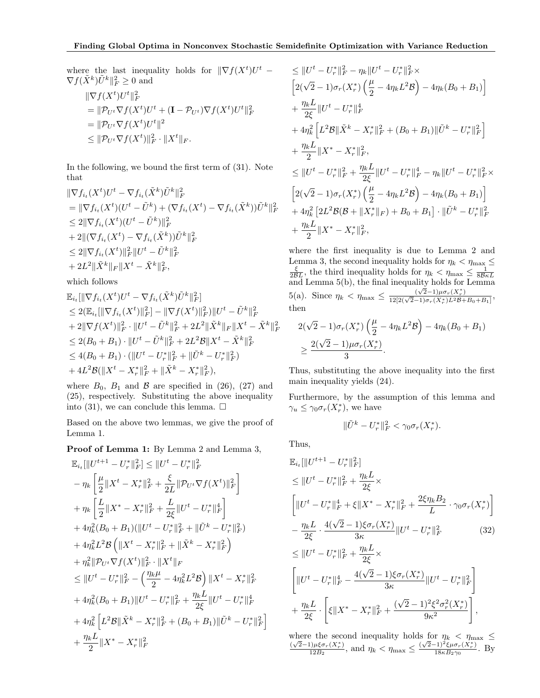where the last inequality holds for  $\|\nabla f(X^t)U^t \nabla f(\tilde{X}^k) \tilde{U}^k \|^2_F \geq 0$  and

$$
\|\nabla f(X^t)U^t\|_F^2
$$
  
=  $\|\mathcal{P}_{U^t}\nabla f(X^t)U^t + (\mathbf{I} - \mathcal{P}_{U^t})\nabla f(X^t)U^t\|_F^2$   
=  $\|\mathcal{P}_{U^t}\nabla f(X^t)U^t\|^2$   
 $\leq \|\mathcal{P}_{U^t}\nabla f(X^t)\|_F^2 \cdot \|X^t\|_F.$ 

In the following, we bound the first term of (31). Note that

$$
\begin{aligned}\n\|\nabla f_{i_t}(X^t)U^t - \nabla f_{i_t}(\tilde{X}^k)\tilde{U}^k\|_F^2 \\
&= \|\nabla f_{i_t}(X^t)(U^t - \tilde{U}^k) + (\nabla f_{i_t}(X^t) - \nabla f_{i_t}(\tilde{X}^k))\tilde{U}^k\|_F^2 \\
&\leq 2\|\nabla f_{i_t}(X^t)(U^t - \tilde{U}^k)\|_F^2 \\
&\quad + 2\|(\nabla f_{i_t}(X^t) - \nabla f_{i_t}(\tilde{X}^k))\tilde{U}^k\|_F^2 \\
&\leq 2\|\nabla f_{i_t}(X^t)\|_F^2\|U^t - \tilde{U}^k\|_F^2 \\
&\quad + 2L^2\|\tilde{X}^k\|_F\|X^t - \tilde{X}^k\|_F^2,\n\end{aligned}
$$
\nwhich follows

which follows

$$
\mathbb{E}_{i_t}[\|\nabla f_{i_t}(X^t)U^t - \nabla f_{i_t}(\tilde{X}^k)\tilde{U}^k\|_F^2] \n\leq 2(\mathbb{E}_{i_t}[\|\nabla f_{i_t}(X^t)\|_F^2] - \|\nabla f(X^t)\|_F^2)\|U^t - \tilde{U}^k\|_F^2 \n+ 2\|\nabla f(X^t)\|_F^2 \cdot \|U^t - \tilde{U}^k\|_F^2 + 2L^2\|\tilde{X}^k\|_F\|X^t - \tilde{X}^k\|_F^2 \n\leq 2(B_0 + B_1) \cdot \|U^t - \tilde{U}^k\|_F^2 + 2L^2\mathcal{B}\|X^t - \tilde{X}^k\|_F^2 \n\leq 4(B_0 + B_1) \cdot (\|U^t - U^*_{\tau}\|_F^2 + \|\tilde{U}^k - U^*_{\tau}\|_F^2) \n+ 4L^2\mathcal{B}(\|X^t - X^*_{\tau}\|_F^2 + \|\tilde{X}^k - X^*_{\tau}\|_F^2),
$$

where  $B_0$ ,  $B_1$  and  $B$  are specified in (26), (27) and (25), respectively. Substituting the above inequality into (31), we can conclude this lemma.  $\square$ 

Based on the above two lemmas, we give the proof of Lemma 1.

Proof of Lemma 1: By Lemma 2 and Lemma 3,

$$
\mathbb{E}_{i_{t}}[\|U^{t+1} - U_{r}^{*}\|_{F}^{2}] \leq \|U^{t} - U_{r}^{*}\|_{F}^{2}
$$
\n
$$
- \eta_{k} \left[ \frac{\mu}{2} \|X^{t} - X_{r}^{*}\|_{F}^{2} + \frac{\xi}{2L} \|\mathcal{P}_{U^{t}} \nabla f(X^{t})\|_{F}^{2} \right]
$$
\n
$$
+ \eta_{k} \left[ \frac{L}{2} \|X^{*} - X_{r}^{*}\|_{F}^{2} + \frac{L}{2\xi} \|U^{t} - U_{r}^{*}\|_{F}^{4} \right]
$$
\n
$$
+ 4\eta_{k}^{2} (B_{0} + B_{1}) (\|U^{t} - U_{r}^{*}\|_{F}^{2} + \|\tilde{U}^{k} - U_{r}^{*}\|_{F}^{2})
$$
\n
$$
+ 4\eta_{k}^{2} L^{2} \mathcal{B} \left( \|X^{t} - X_{r}^{*}\|_{F}^{2} + \|\tilde{X}^{k} - X_{r}^{*}\|_{F}^{2} \right)
$$
\n
$$
+ \eta_{k}^{2} \|\mathcal{P}_{U^{t}} \nabla f(X^{t})\|_{F}^{2} \cdot \|X^{t}\|_{F}
$$
\n
$$
\leq \|U^{t} - U_{r}^{*}\|_{F}^{2} - \left(\frac{\eta_{k}\mu}{2} - 4\eta_{k}^{2} L^{2} \mathcal{B}\right) \|X^{t} - X_{r}^{*}\|_{F}^{2}
$$
\n
$$
+ 4\eta_{k}^{2} (B_{0} + B_{1}) \|U^{t} - U_{r}^{*}\|_{F}^{2} + \frac{\eta_{k}L}{2\xi} \|U^{t} - U_{r}^{*}\|_{F}^{4}
$$
\n
$$
+ 4\eta_{k}^{2} \left[ L^{2} \mathcal{B} \| \tilde{X}^{k} - X_{r}^{*} \|_{F}^{2} + (B_{0} + B_{1}) \| \tilde{U}^{k} - U_{r}^{*} \|_{F}^{2} \right]
$$
\n
$$
+ \frac{\eta_{k}L}{2} \|X^{*} - X_{r}^{*}\|_{F}^{2}
$$

$$
\leq ||U^t - U_r^*||_F^2 - \eta_k ||U^t - U_r^*||_F^2 \times
$$
\n
$$
\left[2(\sqrt{2} - 1)\sigma_r(X_r^*)\left(\frac{\mu}{2} - 4\eta_k L^2 \mathcal{B}\right) - 4\eta_k(B_0 + B_1)\right]
$$
\n
$$
+ \frac{\eta_k L}{2\xi} ||U^t - U_r^*||_F^4
$$
\n
$$
+ 4\eta_k^2 \left[L^2 \mathcal{B}||\tilde{X}^k - X_r^*||_F^2 + (B_0 + B_1)||\tilde{U}^k - U_r^*||_F^2\right]
$$
\n
$$
+ \frac{\eta_k L}{2} ||X^* - X_r^*||_F^2,
$$
\n
$$
\leq ||U^t - U_r^*||_F^2 + \frac{\eta_k L}{2\xi} ||U^t - U_r^*||_F^4 - \eta_k ||U^t - U_r^*||_F^2 \times
$$
\n
$$
\left[2(\sqrt{2} - 1)\sigma_r(X_r^*)\left(\frac{\mu}{2} - 4\eta_k L^2 \mathcal{B}\right) - 4\eta_k(B_0 + B_1)\right]
$$
\n
$$
+ 4\eta_k^2 \left[2L^2 \mathcal{B}(\mathcal{B} + ||X_r^*||_F) + B_0 + B_1\right] \cdot ||\tilde{U}^k - U_r^*||_F^2
$$
\n
$$
+ \frac{\eta_k L}{2} ||X^* - X_r^*||_F^2,
$$

where the first inequality is due to Lemma 2 and Lemma 3, the second inequality holds for  $\eta_k < \eta_{\text{max}} \leq \frac{\xi}{2BL}$ , the third inequality holds for  $\eta_k < \eta_{\text{max}} \leq \frac{1}{8B\kappa L}$  and Lemma 5(b), the final inequality holds for Lemma 5(a). Since  $\eta_k < \eta_{\text{max}} \le \frac{(\sqrt{2}-1)\mu\sigma_r(X_r^*)}{12[2(\sqrt{2}-1)\sigma_r(X_r^*)L^2B+B_0+B_1]},$ then

$$
2(\sqrt{2}-1)\sigma_r(X_r^*)\left(\frac{\mu}{2}-4\eta_k L^2 \mathcal{B}\right) - 4\eta_k(B_0 + B_1)
$$
  
 
$$
\geq \frac{2(\sqrt{2}-1)\mu\sigma_r(X_r^*)}{3}.
$$

Thus, substituting the above inequality into the first main inequality yields (24).

Furthermore, by the assumption of this lemma and  $\gamma_u \leq \gamma_0 \sigma_r(X_r^*)$ , we have

$$
\|\tilde{U}^k - U_r^*\|_F^2 < \gamma_0 \sigma_r(X_r^*).
$$

Thus,

$$
\mathbb{E}_{i_{t}}[\|U^{t+1} - U^{*}_{r}\|_{F}^{2}]
$$
\n
$$
\leq \|U^{t} - U^{*}_{r}\|_{F}^{2} + \frac{\eta_{k}L}{2\xi} \times
$$
\n
$$
\left[\|U^{t} - U^{*}_{r}\|_{F}^{4} + \xi\|X^{*} - X^{*}_{r}\|_{F}^{2} + \frac{2\xi\eta_{k}B_{2}}{L} \cdot \gamma_{0}\sigma_{r}(X^{*}_{r})\right]
$$
\n
$$
-\frac{\eta_{k}L}{2\xi} \cdot \frac{4(\sqrt{2}-1)\xi\sigma_{r}(X^{*}_{r})}{3\kappa} \|U^{t} - U^{*}_{r}\|_{F}^{2} \qquad (32)
$$
\n
$$
\leq \|U^{t} - U^{*}_{r}\|_{F}^{2} + \frac{\eta_{k}L}{2\xi} \times
$$
\n
$$
\left[\|U^{t} - U^{*}_{r}\|_{F}^{4} - \frac{4(\sqrt{2}-1)\xi\sigma_{r}(X^{*}_{r})}{3\kappa} \|U^{t} - U^{*}_{r}\|_{F}^{2}\right]
$$
\n
$$
+\frac{\eta_{k}L}{2\xi} \cdot \left[\xi\|X^{*} - X^{*}_{r}\|_{F}^{2} + \frac{(\sqrt{2}-1)^{2}\xi^{2}\sigma_{r}^{2}(X^{*}_{r})}{9\kappa^{2}}\right],
$$

where the second inequality holds for  $\eta_k < \eta_{\max} \leq \frac{(\sqrt{2}-1)\mu \xi \sigma_r(X_r^*)}{2}$  and  $n_r < n \leq \frac{(\sqrt{2}-1)^2 \xi \mu \sigma_r(X_r^*)}{2}$  By  $\frac{(\sqrt{2}-1)^2 \xi \mu \sigma_r (X_r^*)}{12B_2}$ , and  $\eta_k < \eta_{\text{max}} \leq \frac{(\sqrt{2}-1)^2 \xi \mu \sigma_r (X_r^*)}{18\kappa B_2 \gamma_0}$  $\frac{1}{18\kappa B_2\gamma_0}$ . By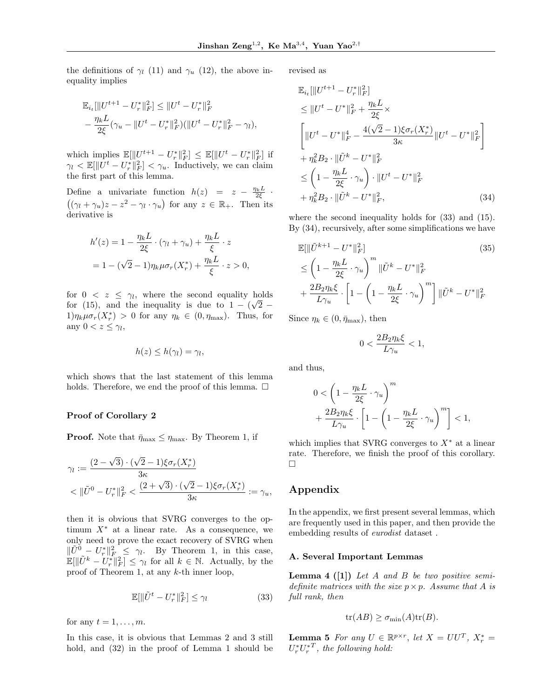the definitions of  $\gamma_l$  (11) and  $\gamma_u$  (12), the above inequality implies

$$
\label{eq:20} \begin{split} &\mathbb{E}_{i_t}[\|U^{t+1}-U_r^*\|_F^2]\leq \|U^t-U_r^*\|_F^2\\ &-\frac{\eta_k L}{2\xi}(\gamma_u-\|U^t-U_r^*\|_F^2)(\|U^t-U_r^*\|_F^2-\gamma_l), \end{split}
$$

which implies  $\mathbb{E}[\|U^{t+1} - U_r^*\|_F^2] \leq \mathbb{E}[\|U^t - U_r^*\|_F^2]$  if  $\gamma_l \langle \mathbb{E}[\Vert U^t - U^* \Vert_F^2] \langle \gamma_u, \rangle]$  Inductively, we can claim the first part of this lemma.

Define a univariate function  $h(z) = z - \frac{\eta_k L}{2\xi}$ .  $((\gamma_l + \gamma_u)z - z^2 - \gamma_l \cdot \gamma_u)$  for any  $z \in \mathbb{R}_+$ . Then its derivative is

$$
h'(z) = 1 - \frac{\eta_k L}{2\xi} \cdot (\gamma_l + \gamma_u) + \frac{\eta_k L}{\xi} \cdot z
$$

$$
= 1 - (\sqrt{2} - 1)\eta_k \mu \sigma_r(X_r^*) + \frac{\eta_k L}{\xi} \cdot z > 0,
$$

for  $0 \leq z \leq \gamma_l$ , where the second equality holds for (15), and the inequality is due to  $1 - (\sqrt{2} 1)\eta_k\mu\sigma_r(X_r^*)$  > 0 for any  $\eta_k \in (0, \eta_{\text{max}})$ . Thus, for any  $0 < z \leq \gamma_l$ ,

$$
h(z) \leq h(\gamma_l) = \gamma_l,
$$

which shows that the last statement of this lemma holds. Therefore, we end the proof of this lemma.  $\Box$ 

#### Proof of Corollary 2

**Proof.** Note that  $\bar{\eta}_{\text{max}} \leq \eta_{\text{max}}$ . By Theorem 1, if

$$
\gamma_l := \frac{(2-\sqrt{3}) \cdot (\sqrt{2}-1)\xi \sigma_r(X_r^*)}{3\kappa} < ||\tilde{U}^0 - U_r^*||_F^2 < \frac{(2+\sqrt{3}) \cdot (\sqrt{2}-1)\xi \sigma_r(X_r^*)}{3\kappa} := \gamma_u,
$$

then it is obvious that SVRG converges to the optimum  $X^*$  at a linear rate. As a consequence, we only need to prove the exact recovery of SVRG when  $\|\tilde{U}^0 - U_r^*\|_F^2 \leq \gamma_l$ . By Theorem 1, in this case,  $\mathbb{E}[\|\tilde{U}^k - U^*_r\|_F^2] \leq \gamma_l$  for all  $k \in \mathbb{N}$ . Actually, by the proof of Theorem 1, at any k-th inner loop,

$$
\mathbb{E}[\|\tilde{U}^t - U_r^*\|_F^2] \le \gamma_l \tag{33}
$$

for any  $t = 1, \ldots, m$ .

In this case, it is obvious that Lemmas 2 and 3 still hold, and (32) in the proof of Lemma 1 should be revised as

$$
\mathbb{E}_{i_t}[\|U^{t+1} - U_r^*\|_F^2] \n\le \|U^t - U^*\|_F^2 + \frac{\eta_k L}{2\xi} \times \n\left[\|U^t - U^*\|_F^4 - \frac{4(\sqrt{2} - 1)\xi \sigma_r(X_r^*)}{3\kappa} \|U^t - U^*\|_F^2\right] \n+ \eta_k^2 B_2 \cdot \|\tilde{U}^k - U^*\|_F^2 \n\le \left(1 - \frac{\eta_k L}{2\xi} \cdot \gamma_u\right) \cdot \|U^t - U^*\|_F^2 \n+ \eta_k^2 B_2 \cdot \|\tilde{U}^k - U^*\|_F^2, \tag{34}
$$

where the second inequality holds for (33) and (15). By (34), recursively, after some simplifications we have

$$
\mathbb{E}[\|\tilde{U}^{k+1} - U^*\|_F^2]
$$
\n
$$
\leq \left(1 - \frac{\eta_k L}{2\xi} \cdot \gamma_u\right)^m \|\tilde{U}^k - U^*\|_F^2
$$
\n
$$
+ \frac{2B_2 \eta_k \xi}{L \gamma_u} \cdot \left[1 - \left(1 - \frac{\eta_k L}{2\xi} \cdot \gamma_u\right)^m\right] \|\tilde{U}^k - U^*\|_F^2
$$
\n(35)

Since  $\eta_k \in (0, \bar{\eta}_{\text{max}})$ , then

$$
0 < \frac{2B_2 \eta_k \xi}{L \gamma_u} < 1,
$$

and thus,

$$
0 < \left(1 - \frac{\eta_k L}{2\xi} \cdot \gamma_u\right)^m
$$
\n
$$
+ \frac{2B_2 \eta_k \xi}{L \gamma_u} \cdot \left[1 - \left(1 - \frac{\eta_k L}{2\xi} \cdot \gamma_u\right)^m\right] < 1,
$$

which implies that SVRG converges to  $X^*$  at a linear rate. Therefore, we finish the proof of this corollary.  $\Box$ 

## Appendix

In the appendix, we first present several lemmas, which are frequently used in this paper, and then provide the embedding results of eurodist dataset .

#### A. Several Important Lemmas

**Lemma 4 ([1])** Let A and B be two positive semidefinite matrices with the size  $p \times p$ . Assume that A is full rank, then

$$
tr(AB) \geq \sigma_{\min}(A) tr(B).
$$

**Lemma 5** For any  $U \in \mathbb{R}^{p \times r}$ , let  $X = U U^T$ ,  $X_r^* =$  $U_r^* U_r^{*T}$ , the following hold: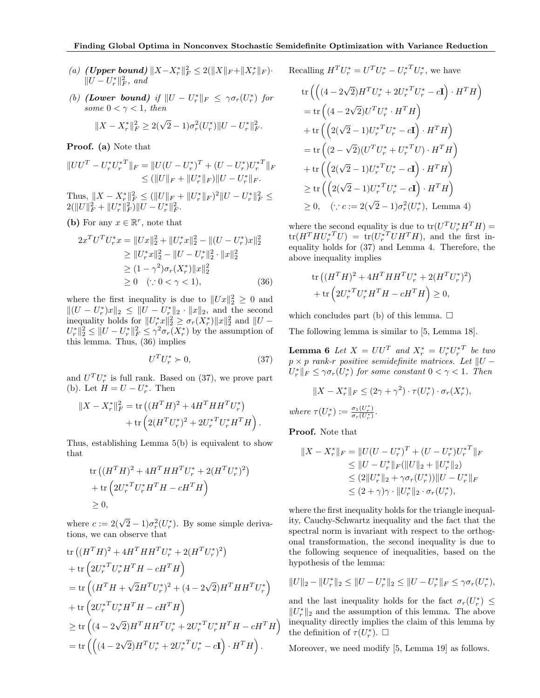- (a) (**Upper bound**)  $||X X_r^*||_F^2 \le 2(||X||_F + ||X_r^*||_F)$ .  $||U - U_r^*||_F^2$ , and
- (b) (Lower bound) if  $||U U_r^*||_F \leq \gamma \sigma_r(U_r^*)$  for some  $0 < \gamma < 1$ , then

$$
||X - X_r^*||_F^2 \ge 2(\sqrt{2} - 1)\sigma_r^2(U_r^*)||U - U_r^*||_F^2.
$$

Proof. (a) Note that

$$
||UU^T - U_r^* U_r^{*T}||_F = ||U(U - U_r^*)^T + (U - U_r^*)U_r^{*T}||_F
$$
  
\n
$$
\leq (||U||_F + ||U_r^*||_F) ||U - U_r^*||_F.
$$

Thus,  $||X - X_r^*||_F^2 \le (||U||_F + ||U_r^*||_F)^2 ||U - U_r^*||_F^2 \le$  $2(\|U\|_F^2 + \|U_r^*\|_F^2)\|U-U_r^*\|_F^2.$ 

(b) For any  $x \in \mathbb{R}^r$ , note that

$$
2x^T U^T U_r^* x = ||Ux||_2^2 + ||U_r^* x||_2^2 - ||(U - U_r^*) x||_2^2
$$
  
\n
$$
\ge ||U_r^* x||_2^2 - ||U - U_r^* ||_2^2 \cdot ||x||_2^2
$$
  
\n
$$
\ge (1 - \gamma^2) \sigma_r (X_r^*) ||x||_2^2
$$
  
\n
$$
\ge 0 \quad (\because 0 < \gamma < 1), \tag{36}
$$

where the first inequality is due to  $||Ux||_2^2 \geq 0$  and  $||(U - U_r^*)x||_2 \le ||U - U_r^*||_2 \cdot ||x||_2$ , and the second inequality holds for  $||U_r^*x||_2^2 \ge \sigma_r(X_r^*) ||x||_2^2$  and  $||U U_r^* \|_2^2 \leq \|U - U_r^*\|_F^2 \leq \gamma^2 \sigma_r(X_r^*)$  by the assumption of this lemma. Thus, (36) implies

$$
U^T U_r^* \succ 0,\tag{37}
$$

and  $U^T U_r^*$  is full rank. Based on (37), we prove part (b). Let  $H = U - U_r^*$ . Then

$$
||X - X_r^*||_F^2 = \text{tr}((H^T H)^2 + 4H^T H H^T U_r^*) + \text{tr}\left(2(H^T U_r^*)^2 + 2U_r^{*T} U_r^* H^T H\right).
$$

Thus, establishing Lemma 5(b) is equivalent to show that

tr 
$$
((H^T H)^2 + 4H^T H H^T U_r^* + 2(H^T U_r^*)^2)
$$
  
+ tr  $(2U_r^{*T} U_r^* H^T H - cH^T H)$   
≥ 0,

where  $c := 2(\sqrt{2} - 1)\sigma_r^2(U_r^*)$ . By some simple derivations, we can observe that

tr 
$$
((H^T H)^2 + 4H^T H H^T U_r^* + 2(H^T U_r^*)^2)
$$
  
+ tr  $(2U_r^* U_r^* H^T H - cH^T H)$   
= tr  $((H^T H + \sqrt{2}H^T U_r^*)^2 + (4 - 2\sqrt{2})H^T H H^T U_r^*)$   
+ tr  $(2U_r^* U_r^* H^T H - cH^T H)$   
 $\ge$  tr  $((4 - 2\sqrt{2})H^T H H^T U_r^* + 2U_r^* {}^T U_r^* H^T H - cH^T H)$   
= tr  $((4 - 2\sqrt{2})H^T U_r^* + 2U_r^* {}^T U_r^* - cI) \cdot H^T H).$ 

Recalling  $H^T U_r^* = U^T U_r^* - U_r^{*T} U_r^*$ , we have

$$
\operatorname{tr}\left(\left((4-2\sqrt{2})H^T U_r^* + 2{U_r^*}^T U_r^* - c\mathbf{I}\right) \cdot H^T H\right)
$$
\n
$$
= \operatorname{tr}\left((4-2\sqrt{2})U^T U_r^* \cdot H^T H\right)
$$
\n
$$
+ \operatorname{tr}\left(\left(2(\sqrt{2}-1)U_r^*^T U_r^* - c\mathbf{I}\right) \cdot H^T H\right)
$$
\n
$$
= \operatorname{tr}\left((2-\sqrt{2})(U^T U_r^* + U_r^*^T U) \cdot H^T H\right)
$$
\n
$$
+ \operatorname{tr}\left(\left(2(\sqrt{2}-1)U_r^*^T U_r^* - c\mathbf{I}\right) \cdot H^T H\right)
$$
\n
$$
\geq \operatorname{tr}\left(\left(2(\sqrt{2}-1)U_r^*^T U_r^* - c\mathbf{I}\right) \cdot H^T H\right)
$$
\n
$$
\geq 0, \quad (\because c := 2(\sqrt{2}-1)\sigma_r^2 (U_r^*), \text{ Lemma 4})
$$

where the second equality is due to  $tr(U^T U_r^* H^T H)$  =  $\text{tr}(H^T H {U_r^*}^T U) = \text{tr}(U_r^{*T} U H^T H)$ , and the first inequality holds for (37) and Lemma 4. Therefore, the above inequality implies

$$
\text{tr}\left((H^T H)^2 + 4H^T H H^T U_r^* + 2(H^T U_r^*)^2\right) \n+ \text{tr}\left(2U_r^{*T} U_r^* H^T H - cH^T H\right) \geq 0,
$$

which concludes part (b) of this lemma.  $\square$ 

The following lemma is similar to [5, Lemma 18].

**Lemma 6** Let  $X = U U^T$  and  $X_r^* = U_r^* U_r^{*T}$  be two  $p \times p$  rank-r positive semidefinite matrices. Let  $||U U_r^* \Vert_F \leq \gamma \sigma_r(U_r^*)$  for some constant  $0 < \gamma < 1$ . Then

$$
||X - X_r^*||_F \le (2\gamma + \gamma^2) \cdot \tau(U_r^*) \cdot \sigma_r(X_r^*),
$$
  

$$
\sigma_r(U_r^*) := \frac{\sigma_1(U_r^*)}{\sigma_r(U_r^*)}.
$$

Proof. Note that

 $where$ 

$$
||X - X_r^*||_F = ||U(U - U_r^*)^T + (U - U_r^*){U_r^*}^T||_F
$$
  
\n
$$
\leq ||U - U_r^*||_F(||U||_2 + ||U_r^*||_2)
$$
  
\n
$$
\leq (2||U_r^*||_2 + \gamma \sigma_r(U_r^*))||U - U_r^*||_F
$$
  
\n
$$
\leq (2 + \gamma)\gamma \cdot ||U_r^*||_2 \cdot \sigma_r(U_r^*),
$$

where the first inequality holds for the triangle inequality, Cauchy-Schwartz inequality and the fact that the spectral norm is invariant with respect to the orthogonal transformation, the second inequality is due to the following sequence of inequalities, based on the hypothesis of the lemma:

$$
||U||_2 - ||U_r^*||_2 \le ||U - U_r^*||_2 \le ||U - U_r^*||_F \le \gamma \sigma_r(U_r^*),
$$

and the last inequality holds for the fact  $\sigma_r(U_r^*)$   $\leq$  $||U_r^*||_2$  and the assumption of this lemma. The above inequality directly implies the claim of this lemma by the definition of  $\tau(U_r^*)$ .  $\Box$ 

Moreover, we need modify [5, Lemma 19] as follows.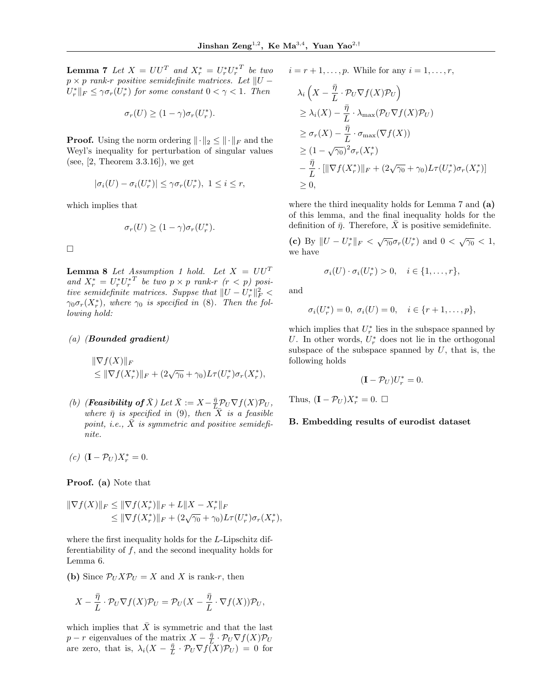**Lemma 7** Let  $X = U U^T$  and  $X_r^* = U_r^* U_r^{*T}$  be two  $p \times p$  rank-r positive semidefinite matrices. Let  $||U U_r^* \Vert_F \leq \gamma \sigma_r(U_r^*)$  for some constant  $0 < \gamma < 1$ . Then

$$
\sigma_r(U) \ge (1 - \gamma)\sigma_r(U_r^*).
$$

**Proof.** Using the norm ordering  $\|\cdot\|_2 \le \|\cdot\|_F$  and the Weyl's inequality for perturbation of singular values (see, [2, Theorem 3.3.16]), we get

$$
|\sigma_i(U) - \sigma_i(U_r^*)| \le \gamma \sigma_r(U_r^*), \ 1 \le i \le r,
$$

which implies that

$$
\sigma_r(U) \ge (1 - \gamma)\sigma_r(U_r^*).
$$

 $\Box$ 

**Lemma 8** Let Assumption 1 hold. Let  $X = UU^T$ and  $X_r^* = U_r^* U_r^{*T}$  be two  $p \times p$  rank-r  $(r < p)$  positive semidefinite matrices. Suppse that  $||U - U_r^*||_F^2 <$  $\gamma_0 \sigma_r(X_r^*)$ , where  $\gamma_0$  is specified in (8). Then the following hold:

#### (a) (Bounded gradient)

$$
\|\nabla f(X)\|_{F} \leq \|\nabla f(X_r^*)\|_{F} + (2\sqrt{\gamma_0} + \gamma_0)L\tau(U_r^*)\sigma_r(X_r^*),
$$

(b) (**Feasibility of**  $\bar{X}$ ) Let  $\bar{X} := X - \frac{\bar{\eta}}{L} \mathcal{P}_U \nabla f(X) \mathcal{P}_U$ , where  $\bar{\eta}$  is specified in (9), then  $\bar{X}$  is a feasible point, i.e.,  $\bar{X}$  is symmetric and positive semidefinite.

$$
(c) \ \left(\mathbf{I} - \mathcal{P}_U\right)X_r^* = 0.
$$

Proof. (a) Note that

$$
\|\nabla f(X)\|_{F} \leq \|\nabla f(X_{r}^{*})\|_{F} + L\|X - X_{r}^{*}\|_{F}
$$
  

$$
\leq \|\nabla f(X_{r}^{*})\|_{F} + (2\sqrt{\gamma_{0}} + \gamma_{0})L\tau(U_{r}^{*})\sigma_{r}(X_{r}^{*}),
$$

where the first inequality holds for the L-Lipschitz differentiability of  $f$ , and the second inequality holds for Lemma 6.

(b) Since  $\mathcal{P}_U X \mathcal{P}_U = X$  and X is rank-r, then

$$
X - \frac{\bar{\eta}}{L} \cdot \mathcal{P}_U \nabla f(X) \mathcal{P}_U = \mathcal{P}_U (X - \frac{\bar{\eta}}{L} \cdot \nabla f(X)) \mathcal{P}_U,
$$

which implies that  $\bar{X}$  is symmetric and that the last p – r eigenvalues of the matrix  $X - \frac{\bar{\eta}}{L} \cdot \mathcal{P}_U \nabla f(X) \mathcal{P}_U$ are zero, that is,  $\lambda_i(X - \frac{\bar{\eta}}{L} \cdot \mathcal{P}_U \nabla f(X) \mathcal{P}_U) = 0$  for

 $i = r + 1, \ldots, p$ . While for any  $i = 1, \ldots, r$ ,

$$
\lambda_i \left( X - \frac{\bar{\eta}}{L} \cdot \mathcal{P}_U \nabla f(X) \mathcal{P}_U \right)
$$
\n
$$
\geq \lambda_i(X) - \frac{\bar{\eta}}{L} \cdot \lambda_{\max}(\mathcal{P}_U \nabla f(X) \mathcal{P}_U)
$$
\n
$$
\geq \sigma_r(X) - \frac{\bar{\eta}}{L} \cdot \sigma_{\max}(\nabla f(X))
$$
\n
$$
\geq (1 - \sqrt{\gamma_0})^2 \sigma_r(X_r^*)
$$
\n
$$
- \frac{\bar{\eta}}{L} \cdot [\|\nabla f(X_r^*)\|_F + (2\sqrt{\gamma_0} + \gamma_0)L\tau(U_r^*)\sigma_r(X_r^*)]
$$
\n
$$
\geq 0,
$$

where the third inequality holds for Lemma 7 and (a) of this lemma, and the final inequality holds for the definition of  $\bar{\eta}$ . Therefore, X is positive semidefinite.

(c) By  $||U - U_r^*||_F < \sqrt{\gamma_0} \sigma_r(U_r^*)$  and  $0 < \sqrt{\gamma_0} < 1$ , we have

$$
\sigma_i(U) \cdot \sigma_i(U_r^*) > 0, \quad i \in \{1, \ldots, r\},\
$$

and

$$
\sigma_i(U_r^*) = 0, \ \sigma_i(U) = 0, \quad i \in \{r+1, \ldots, p\},\
$$

which implies that  $U_r^*$  lies in the subspace spanned by U. In other words,  $U_r^*$  does not lie in the orthogonal subspace of the subspace spanned by  $U$ , that is, the following holds

$$
(\mathbf{I} - \mathcal{P}_U)U_r^* = 0.
$$

Thus,  $(\mathbf{I} - \mathcal{P}_U)X_r^* = 0$ .  $\Box$ 

#### B. Embedding results of eurodist dataset